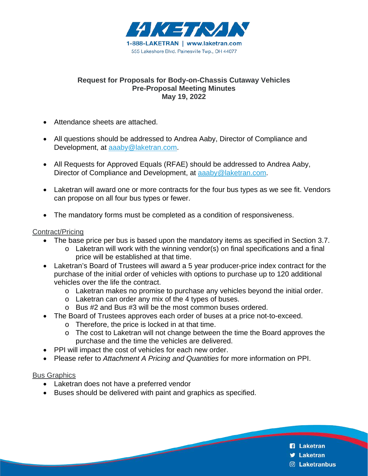

#### **Request for Proposals for Body-on-Chassis Cutaway Vehicles Pre-Proposal Meeting Minutes May 19, 2022**

- Attendance sheets are attached.
- All questions should be addressed to Andrea Aaby, Director of Compliance and Development, at [aaaby@laketran.com.](mailto:aaaby@laketran.com)
- All Requests for Approved Equals (RFAE) should be addressed to Andrea Aaby, Director of Compliance and Development, at [aaaby@laketran.com.](mailto:aaaby@laketran.com)
- Laketran will award one or more contracts for the four bus types as we see fit. Vendors can propose on all four bus types or fewer.
- The mandatory forms must be completed as a condition of responsiveness.

#### Contract/Pricing

- The base price per bus is based upon the mandatory items as specified in Section 3.7.
	- o Laketran will work with the winning vendor(s) on final specifications and a final price will be established at that time.
- Laketran's Board of Trustees will award a 5 year producer-price index contract for the purchase of the initial order of vehicles with options to purchase up to 120 additional vehicles over the life the contract.
	- o Laketran makes no promise to purchase any vehicles beyond the initial order.
	- o Laketran can order any mix of the 4 types of buses.
	- o Bus #2 and Bus #3 will be the most common buses ordered.
	- The Board of Trustees approves each order of buses at a price not-to-exceed.
		- o Therefore, the price is locked in at that time.
		- o The cost to Laketran will not change between the time the Board approves the purchase and the time the vehicles are delivered.
- PPI will impact the cost of vehicles for each new order.
- Please refer to *Attachment A Pricing and Quantities* for more information on PPI.

#### Bus Graphics

- Laketran does not have a preferred vendor
- Buses should be delivered with paint and graphics as specified.

- **n** Laketran
- **J** Laketran
- **C** Laketranbus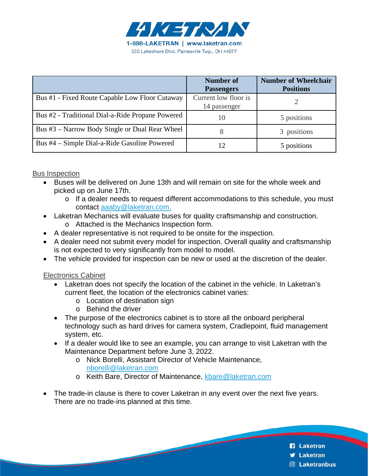

|                                                  | Number of<br><b>Passengers</b>       | <b>Number of Wheelchair</b><br><b>Positions</b> |
|--------------------------------------------------|--------------------------------------|-------------------------------------------------|
| Bus #1 - Fixed Route Capable Low Floor Cutaway   | Current low floor is<br>14 passenger |                                                 |
| Bus #2 - Traditional Dial-a-Ride Propane Powered | 10                                   | 5 positions                                     |
| Bus #3 – Narrow Body Single or Dual Rear Wheel   | 8                                    | 3 positions                                     |
| Bus #4 – Simple Dial-a-Ride Gasoline Powered     |                                      | 5 positions                                     |

#### Bus Inspection

- Buses will be delivered on June 13th and will remain on site for the whole week and picked up on June 17th.
	- o If a dealer needs to request different accommodations to this schedule, you must contact [aaaby@laketran.com.](mailto:aaaby@laketran.com)
- Laketran Mechanics will evaluate buses for quality craftsmanship and construction.
	- o Attached is the Mechanics Inspection form.
- A dealer representative is not required to be onsite for the inspection.
- A dealer need not submit every model for inspection. Overall quality and craftsmanship is not expected to very significantly from model to model.
- The vehicle provided for inspection can be new or used at the discretion of the dealer.

Electronics Cabinet

- Laketran does not specify the location of the cabinet in the vehicle. In Laketran's current fleet, the location of the electronics cabinet varies:
	- o Location of destination sign
	- o Behind the driver
- The purpose of the electronics cabinet is to store all the onboard peripheral technology such as hard drives for camera system, Cradlepoint, fluid management system, etc.
- If a dealer would like to see an example, you can arrange to visit Laketran with the Maintenance Department before June 3, 2022.
	- o Nick Borelli, Assistant Director of Vehicle Maintenance, [nborelli@laketran.com](mailto:nborelli@laketran.com)
	- o Keith Bare, Director of Maintenance, [kbare@laketran.com](mailto:kbare@laketran.com)
- The trade-in clause is there to cover Laketran in any event over the next five years. There are no trade-ins planned at this time.
	- **n** Laketran
	- **J** Laketran
	- **S** Laketranbus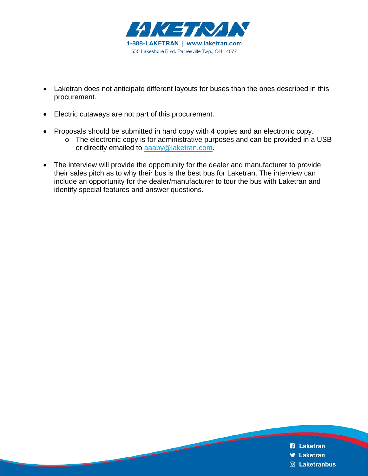

- Laketran does not anticipate different layouts for buses than the ones described in this procurement.
- Electric cutaways are not part of this procurement.
- Proposals should be submitted in hard copy with 4 copies and an electronic copy.
	- o The electronic copy is for administrative purposes and can be provided in a USB or directly emailed to [aaaby@laketran.com.](mailto:aaaby@laketran.com)
- The interview will provide the opportunity for the dealer and manufacturer to provide their sales pitch as to why their bus is the best bus for Laketran. The interview can include an opportunity for the dealer/manufacturer to tour the bus with Laketran and identify special features and answer questions.

- **R** Laketran
- **V** Laketran
- **<b>8** Laketranbus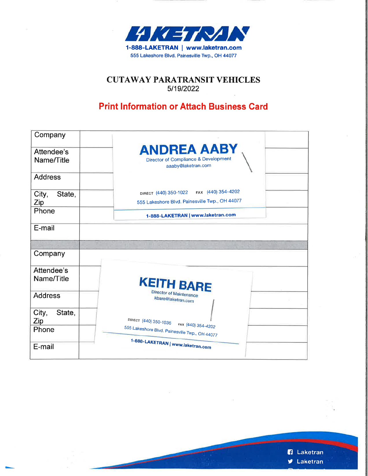

### **CUTAWAY PARATRANSIT VEHICLES** 5/19/2022

## **Print Information or Attach Business Card**

| Company                  |                                                                                               |
|--------------------------|-----------------------------------------------------------------------------------------------|
| Attendee's<br>Name/Title | <b>ANDREA AABY</b><br>Director of Compliance & Development<br>aaaby@laketran.com              |
| <b>Address</b>           |                                                                                               |
| City,<br>State,<br>Zip   | FAX (440) 354-4202<br>DIRECT (440) 350-1022<br>555 Lakeshore Blvd. Painesville Twp., OH 44077 |
| Phone                    | 1-888-LAKETRAN   www.laketran.com                                                             |
| E-mail                   |                                                                                               |
|                          |                                                                                               |
| Company                  |                                                                                               |
| Attendee's<br>Name/Title | <b>KEITH BARE</b>                                                                             |
| <b>Address</b>           | Director of Maintenance<br>kbare@laketran.com                                                 |
| City,<br>State,<br>Zip   | DIRECT (440) 350-1036                                                                         |
| Phone                    | FAX (440) 354-4202<br>555 Lakeshore Blvd. Painesville Twp., OH 44077                          |
| E-mail                   | 1-888-LAKETRAN   www.laketran.com                                                             |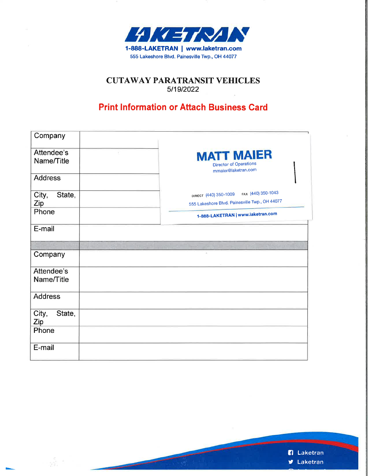

#### **CUTAWAY PARATRANSIT VEHICLES** 5/19/2022 i.

### **Print Information or Attach Business Card**

| Company                  |                                                                           |
|--------------------------|---------------------------------------------------------------------------|
|                          |                                                                           |
| Attendee's<br>Name/Title | <b>MATT MAIER</b><br><b>Director of Operations</b><br>mmaier@laketran.com |
| <b>Address</b>           |                                                                           |
| City,<br>State,          | FAX (440) 350-1043<br>DIRECT (440) 350-1009                               |
| Zip                      | 555 Lakeshore Blvd. Painesville Twp., OH 44077                            |
| Phone                    | 1-888-LAKETRAN   www.laketran.com                                         |
| E-mail                   |                                                                           |
|                          |                                                                           |
| Company                  |                                                                           |
| Attendee's               |                                                                           |
| Name/Title               |                                                                           |
| <b>Address</b>           |                                                                           |
| City,<br>State,<br>Zip   |                                                                           |
| Phone                    |                                                                           |
| E-mail                   |                                                                           |

ŵ.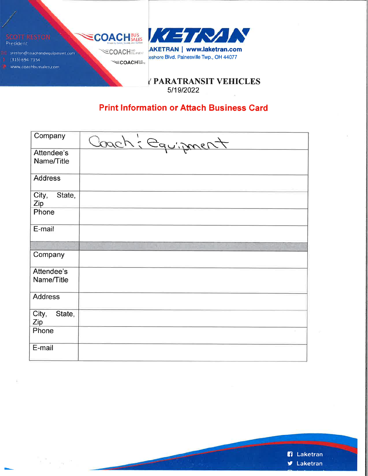

*TPARATRANSIT VEHICLES* 5/19/2022

## **Print Information or Attach Business Card**

| Company                  | Coach: Equipment |
|--------------------------|------------------|
| Attendee's<br>Name/Title |                  |
| <b>Address</b>           |                  |
| City,<br>State,<br>Zip   |                  |
| Phone                    |                  |
| E-mail                   |                  |
|                          |                  |
| Company                  |                  |
| Attendee's               |                  |
| Name/Title               |                  |
| <b>Address</b>           |                  |
| City,<br>State,<br>Zip   |                  |
| Phone                    |                  |
| E-mail                   |                  |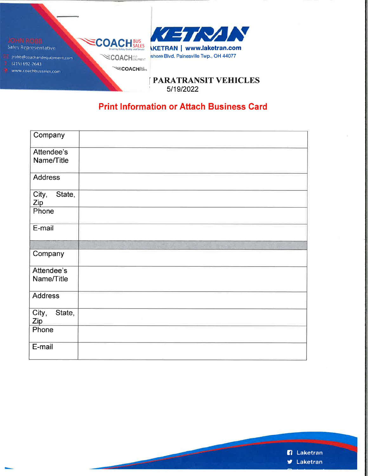

**PARATRANSIT VEHICLES** 5/19/2022

## **Print Information or Attach Business Card**

| Company                |             |
|------------------------|-------------|
| Attendee's             |             |
| Name/Title             |             |
| <b>Address</b>         |             |
| State,<br>City,<br>Zip |             |
| Phone                  |             |
| E-mail                 |             |
|                        | <b>TIME</b> |
| Company                |             |
| Attendee's             |             |
| Name/Title             |             |
| <b>Address</b>         |             |
| City,<br>State,<br>Zip |             |
| Phone                  |             |
| E-mail                 |             |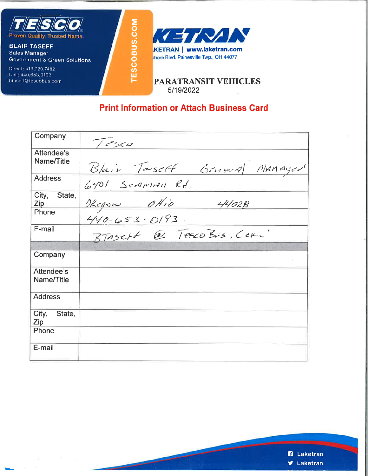

**Government & Green Solutions** Direct: 419,720,7482

Cell: 440,653,0193 btaseff@tescobus.com



**PARATRANSIT VEHICLES** 5/19/2022

## **Print Information or Attach Business Card**

**TESCOBUS.COM** 

| Company                |                              |
|------------------------|------------------------------|
|                        | 7esco                        |
| Attendee's             |                              |
| Name/Title             | Blair Taseff General MAMAger |
| <b>Address</b>         | $6401$ Separan Rd.           |
| City, State,<br>Zip    |                              |
| Phone                  | Okegon OHio 44028            |
| E-mail                 | BTASCHE @ TescoBus, CORL'    |
|                        |                              |
| Company                |                              |
| Attendee's             |                              |
| Name/Title             |                              |
| <b>Address</b>         |                              |
| City,<br>State,<br>Zip |                              |
| Phone                  |                              |
| E-mail                 |                              |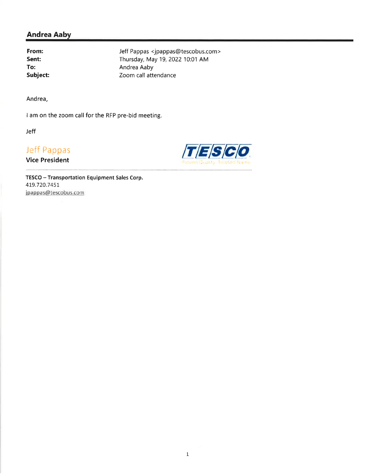From: Sent: To: Subject: Jeff Pappas <jpappas@tescobus.com> Thursday, May 19, 2022 10:01 AM Andrea Aaby Zoom call attendance

Andrea,

I am on the zoom call for the RFP pre-bid meeting.

Jeff

# Jeff Pappas

**Vice President** 



TESCO - Transportation Equipment Sales Corp. 419.720.7451 jpappas@tescobus.com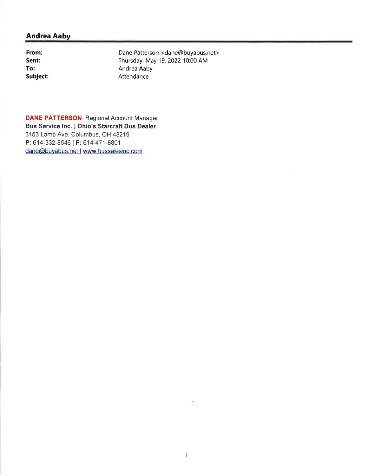From: Sent: To: Subject:

Dane Patterson < dane@buyabus.net> Thursday, May 19, 2022 10:00 AM Andrea Aaby Attendance

**DANE PATTERSON** Regional Account Manager Bus Service Inc. | Ohio's Starcraft Bus Dealer 3153 Lamb Ave. Columbus, OH 43219 P: 614-332-8546 | F: 614-471-8801 dane@buyabus.net | www.bussalesinc.com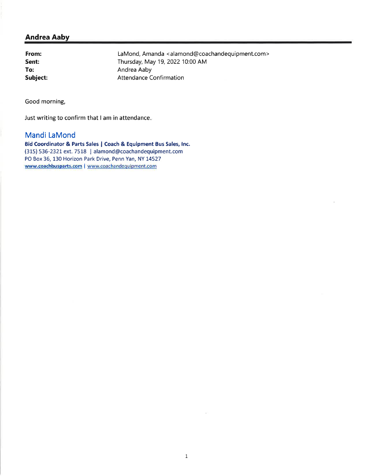From: Sent: To: Subject:

LaMond, Amanda <alamond@coachandequipment.com> Thursday, May 19, 2022 10:00 AM Andrea Aaby **Attendance Confirmation** 

Good morning,

Just writing to confirm that I am in attendance.

### Mandi LaMond

Bid Coordinator & Parts Sales | Coach & Equipment Bus Sales, Inc. (315) 536-2321 ext. 7518 | alamond@coachandequipment.com PO Box 36, 130 Horizon Park Drive, Penn Yan, NY 14527 www.coachbusparts.com | www.coachandequipment.com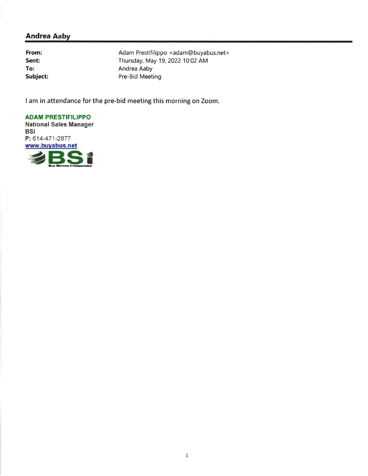From: Sent: To: Subject: Adam Prestifilippo <adam@buyabus.net> Thursday, May 19, 2022 10:02 AM Andrea Aaby Pre-Bid Meeting

I am in attendance for the pre-bid meeting this morning on Zoom.

**ADAM PRESTIFILIPPO National Sales Manager BSI** P: 614-471-2877 www.buyabus.net **SSI**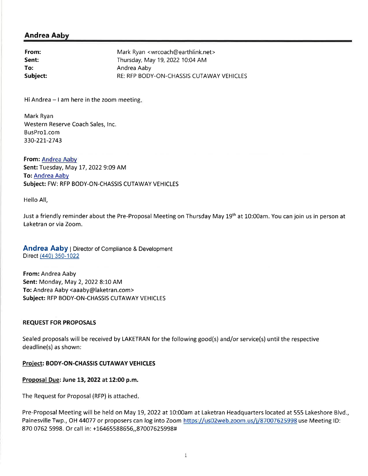| From:    | Mark Ryan <wrcoach@earthlink.net></wrcoach@earthlink.net> |
|----------|-----------------------------------------------------------|
| Sent:    | Thursday, May 19, 2022 10:04 AM                           |
| To:      | Andrea Aaby                                               |
| Subject: | RE: RFP BODY-ON-CHASSIS CUTAWAY VEHICLES                  |

Hi Andrea  $-1$  am here in the zoom meeting.

Mark Ryan Western Reserve Coach Sales, Inc. BusPro1.com 330-221-2743

From: Andrea Aaby Sent: Tuesday, May 17, 2022 9:09 AM To: Andrea Aaby Subject: FW: RFP BODY-ON-CHASSIS CUTAWAY VEHICLES

Hello All.

Just a friendly reminder about the Pre-Proposal Meeting on Thursday May 19<sup>th</sup> at 10:00am. You can join us in person at Laketran or via Zoom.

**Andrea Aaby** | Director of Compliance & Development Direct (440) 350-1022

From: Andrea Aaby Sent: Monday, May 2, 2022 8:10 AM To: Andrea Aaby <aaaby@laketran.com> Subject: RFP BODY-ON-CHASSIS CUTAWAY VEHICLES

#### **REQUEST FOR PROPOSALS**

Sealed proposals will be received by LAKETRAN for the following good(s) and/or service(s) until the respective deadline(s) as shown:

#### Project: BODY-ON-CHASSIS CUTAWAY VEHICLES

#### Proposal Due: June 13, 2022 at 12:00 p.m.

The Request for Proposal (RFP) is attached.

Pre-Proposal Meeting will be held on May 19, 2022 at 10:00am at Laketran Headquarters located at 555 Lakeshore Blvd., Painesville Twp., OH 44077 or proposers can log into Zoom https://us02web.zoom.us/j/87007625998 use Meeting ID: 870 0762 5998. Or call in: +16465588656,,87007625998#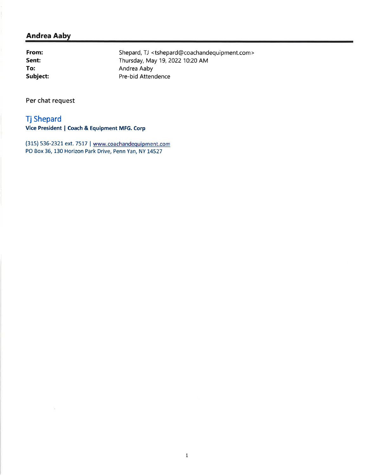From: Sent: To: Subject:

Shepard, TJ <tshepard@coachandequipment.com> Thursday, May 19, 2022 10:20 AM Andrea Aaby Pre-bid Attendence

Per chat request

### **Tj Shepard**

Vice President | Coach & Equipment MFG. Corp

(315) 536-2321 ext. 7517 | www.coachandequipment.com PO Box 36, 130 Horizon Park Drive, Penn Yan, NY 14527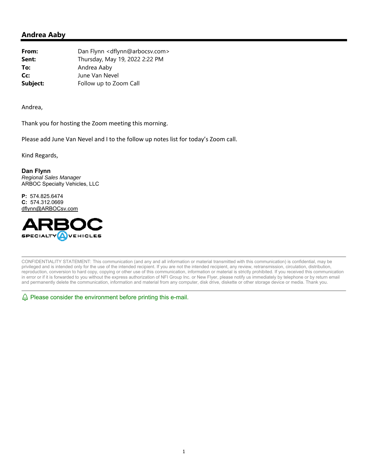| From:    | Dan Flynn < dflynn@arbocsv.com> |
|----------|---------------------------------|
| Sent:    | Thursday, May 19, 2022 2:22 PM  |
| To:      | Andrea Aaby                     |
| Cc:      | June Van Nevel                  |
| Subject: | Follow up to Zoom Call          |

Andrea,

Thank you for hosting the Zoom meeting this morning.

Please add June Van Nevel and I to the follow up notes list for today's Zoom call.

Kind Regards,

**Dan Flynn**  *Regional Sales Manager*  ARBOC Specialty Vehicles, LLC

**P:** 574.825.6474 **C:** 574.312.0669 dflynn@ARBOCsv.com



CONFIDENTIALITY STATEMENT: This communication (and any and all information or material transmitted with this communication) is confidential, may be privileged and is intended only for the use of the intended recipient. If you are not the intended recipient, any review, retransmission, circulation, distribution, reproduction, conversion to hard copy, copying or other use of this communication, information or material is strictly prohibited. If you received this communication in error or if it is forwarded to you without the express authorization of NFI Group Inc. or New Flyer, please notify us immediately by telephone or by return email and permanently delete the communication, information and material from any computer, disk drive, diskette or other storage device or media. Thank you.

 $\&$  Please consider the environment before printing this e-mail.